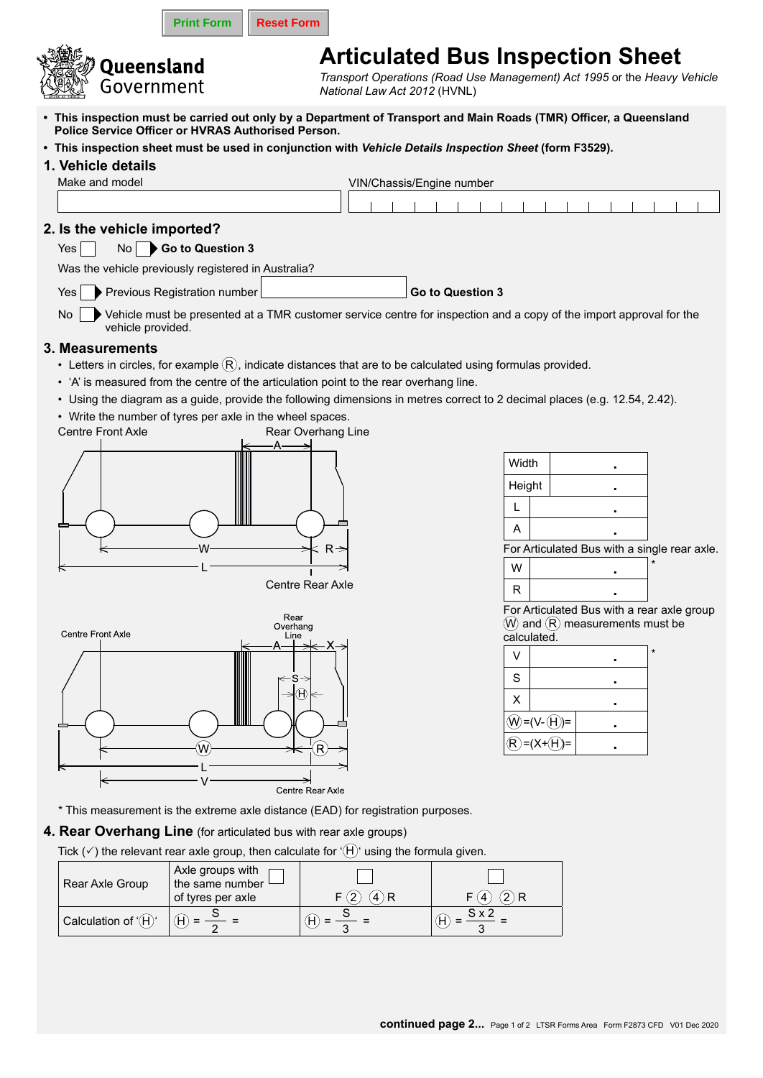|                                                                                                                                                                                                                                                                                                                                                          |                                                                                                                                                                                                                                                                                                                                                                                                                                                                                                |                          | <b>Print Form</b>                                                                                                                                                          | <b>Reset Form</b>                  |                  |                                                                         |         |  |                 |      |              |                                                             |                                            |  |                                                                              |  |                                                                          |
|----------------------------------------------------------------------------------------------------------------------------------------------------------------------------------------------------------------------------------------------------------------------------------------------------------------------------------------------------------|------------------------------------------------------------------------------------------------------------------------------------------------------------------------------------------------------------------------------------------------------------------------------------------------------------------------------------------------------------------------------------------------------------------------------------------------------------------------------------------------|--------------------------|----------------------------------------------------------------------------------------------------------------------------------------------------------------------------|------------------------------------|------------------|-------------------------------------------------------------------------|---------|--|-----------------|------|--------------|-------------------------------------------------------------|--------------------------------------------|--|------------------------------------------------------------------------------|--|--------------------------------------------------------------------------|
|                                                                                                                                                                                                                                                                                                                                                          |                                                                                                                                                                                                                                                                                                                                                                                                                                                                                                | Queensland<br>Government |                                                                                                                                                                            |                                    |                  | <b>Articulated Bus Inspection Sheet</b><br>National Law Act 2012 (HVNL) |         |  |                 |      |              |                                                             |                                            |  |                                                                              |  | Transport Operations (Road Use Management) Act 1995 or the Heavy Vehicle |
| • This inspection must be carried out only by a Department of Transport and Main Roads (TMR) Officer, a Queensland<br>Police Service Officer or HVRAS Authorised Person.<br>. This inspection sheet must be used in conjunction with Vehicle Details Inspection Sheet (form F3529).<br>1. Vehicle details<br>Make and model<br>VIN/Chassis/Engine number |                                                                                                                                                                                                                                                                                                                                                                                                                                                                                                |                          |                                                                                                                                                                            |                                    |                  |                                                                         |         |  |                 |      |              |                                                             |                                            |  |                                                                              |  |                                                                          |
|                                                                                                                                                                                                                                                                                                                                                          |                                                                                                                                                                                                                                                                                                                                                                                                                                                                                                |                          |                                                                                                                                                                            |                                    |                  |                                                                         |         |  |                 |      |              |                                                             |                                            |  |                                                                              |  |                                                                          |
|                                                                                                                                                                                                                                                                                                                                                          | 2. Is the vehicle imported?<br>Go to Question 3<br>No <sub>1</sub><br>Yes<br>Was the vehicle previously registered in Australia?<br>Previous Registration number<br>Go to Question 3<br>Yes<br>Vehicle must be presented at a TMR customer service centre for inspection and a copy of the import approval for the<br>No                                                                                                                                                                       |                          |                                                                                                                                                                            |                                    |                  |                                                                         |         |  |                 |      |              |                                                             |                                            |  |                                                                              |  |                                                                          |
|                                                                                                                                                                                                                                                                                                                                                          | vehicle provided.<br>3. Measurements<br>• Letters in circles, for example $(R)$ , indicate distances that are to be calculated using formulas provided.<br>• 'A' is measured from the centre of the articulation point to the rear overhang line.<br>• Using the diagram as a guide, provide the following dimensions in metres correct to 2 decimal places (e.g. 12.54, 2.42).<br>• Write the number of tyres per axle in the wheel spaces.<br><b>Centre Front Axle</b><br>Rear Overhang Line |                          |                                                                                                                                                                            |                                    |                  |                                                                         |         |  |                 |      |              |                                                             |                                            |  |                                                                              |  |                                                                          |
|                                                                                                                                                                                                                                                                                                                                                          |                                                                                                                                                                                                                                                                                                                                                                                                                                                                                                |                          |                                                                                                                                                                            | Centre Rear Axle                   | $R \Rightarrow$  |                                                                         |         |  |                 |      |              | Width<br>Height<br>L<br>$\overline{A}$<br>W<br>$\mathsf{R}$ |                                            |  |                                                                              |  | For Articulated Bus with a single rear axle.                             |
|                                                                                                                                                                                                                                                                                                                                                          | Centre Front Axle                                                                                                                                                                                                                                                                                                                                                                                                                                                                              |                          |                                                                                                                                                                            | Rear<br>Overhang<br>Line<br>s<br>H |                  |                                                                         |         |  |                 |      |              | V<br>S<br>X                                                 | calculated.<br>(W)=(V-(H))=<br>$=(X+(H))=$ |  | $\left(\mathsf{W}\right)$ and $\left(\mathsf{R}\right)$ measurements must be |  | For Articulated Bus with a rear axle group                               |
|                                                                                                                                                                                                                                                                                                                                                          |                                                                                                                                                                                                                                                                                                                                                                                                                                                                                                |                          |                                                                                                                                                                            |                                    | Centre Rear Axle |                                                                         |         |  |                 |      |              |                                                             |                                            |  |                                                                              |  |                                                                          |
|                                                                                                                                                                                                                                                                                                                                                          |                                                                                                                                                                                                                                                                                                                                                                                                                                                                                                |                          | * This measurement is the extreme axle distance (EAD) for registration purposes.                                                                                           |                                    |                  |                                                                         |         |  |                 |      |              |                                                             |                                            |  |                                                                              |  |                                                                          |
|                                                                                                                                                                                                                                                                                                                                                          |                                                                                                                                                                                                                                                                                                                                                                                                                                                                                                |                          | 4. Rear Overhang Line (for articulated bus with rear axle groups)<br>Tick ( $\checkmark$ ) the relevant rear axle group, then calculate for '(H)' using the formula given. |                                    |                  |                                                                         |         |  |                 |      |              |                                                             |                                            |  |                                                                              |  |                                                                          |
|                                                                                                                                                                                                                                                                                                                                                          |                                                                                                                                                                                                                                                                                                                                                                                                                                                                                                | Rear Axle Group          | Axle groups with<br>the same number<br>of tyres per axle                                                                                                                   |                                    |                  | (2)                                                                     | $(4)$ R |  |                 | F(4) |              | $(2)$ R                                                     |                                            |  |                                                                              |  |                                                                          |
|                                                                                                                                                                                                                                                                                                                                                          |                                                                                                                                                                                                                                                                                                                                                                                                                                                                                                | Calculation of '(H)'     | $(H) =$                                                                                                                                                                    |                                    | $(H) =$          |                                                                         |         |  | $\widehat{H}$ = |      | $S \times 2$ |                                                             |                                            |  |                                                                              |  |                                                                          |